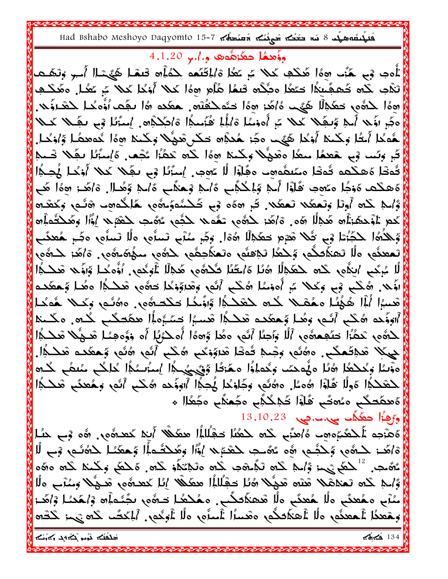Had Bshabo Meshoyo Daqyomto 15-7 xdripa xije xi 8 مَهْ مَهْمَة مَنْ 8

 $4.1.20$  وذُهدهُ و./.ب

لْمُحِب فِي هَّنُو 1هُمْ هُكُلُّ مَنْ كُلا مَ عَمُّلْ هُ/فَتَعُم حَكْمُلُه قَعْمًا هَيُمْالُ أُمِي وَتَهُـعَا تَكْابَ كُلُّهِ خَمْعَيْنِكُمْ حَكْمًا مِثْلُو قَنِعًا مُلْمٍ وَمَا كُلُّهُ أَوْكُلُّ كَلُّهُ مَ عَمَّل مغكت هِوَا كَمُوْمٍ حَعَكِمِلًا هَيْبٍ وَأَهَدٍ هِوَا حَيْمَكَفُتُمٍ عَعَدِهِ هَا بِجَمٍ أَوْوَيُكِ كَعْدَوَيْكِ. هِجْمٍ اؤْلِمَا أَلِيمَ وَسِفِّلاً خَلَابٌ مِ أُهْمِمُا وَالْمِلَمُ فَأَسِجُلَ وَاحْكِلْهُمْ. إِسْتَرْلَا وْمِ يضَلا خَلَلا هُمَكُل أَمْثُلُ وَكُنتُ أَوْكُل هَيَّبٍ وَجَز هُدَبُّهِ حَكْرٍ مِٓوَهُلا وِكُنتُ هِوَٰا كُوهِمَا وَاوْكُل ثَمِ وَبَست وْمِ هَعْمَا سَعَا هَمْهُلا وِكْتُمْ هِهَا كُلُّهُ تَكْتُلْ تُجْعَدِ هَامِنُّهُا لَقِلا كَسْلِمْ ثَمِثْلُ هَ هِكْمِهِ ثَمِثْلُ مِنْبِقُوسٍ وَقُلُوْا لُلَّا يُوجِي إِسْزُنُلْ وَبِي بِفَلا يُعِلَّا لَأَوْجُل ل هُ عِنْكُمٍ هُوْجًا مِنْهُمٍ ۚ قُاوْاً أَمِمْ وَلِمُكُلِّبٍ وَامِمْ وَهِكُلَّ وَامُدًا إِنَّ هَاهُمْ وَهُا هَي وَّاكِمْ كُلُو، أُوِيَا وَيَعْقَلُهُ يَعْقَلُهُ. ثُم 600 وَمِ خَكْسُهُ وَمَثَى هَا كُلُهُ 90 وَكَعْدَه كُم لْمُحِطَّنْأَهِ هَٰذِلًا هُو. وْ/هَٰ: حَيُّوبٍ يَعْوِيهِ حَجَّوبٍ يُهُبِ حَظِّرِيهِ إِذًا وِهَٰحَتُوبُوهِ وَجْلَاهُا لِكَجَّاتِهُ فِي ثَلَلَّا مُعْظِمَ الْمَوْالِ وَجَرِ مُنْهَى تَسْلُونَ وَلَّا تَسَلُّونَ وَجَبِ هُعْدَب تَمْعِدُو وَأَلَا تَحْذُكُو تُرْحَجُلَا تَجْعَنُوا وَتُعَذِّجَهُو لِحَدُّوا سَؤُوَّةٍ وَأَهْدَ حَدَّثُوا لًا ـُبِكَـٰى ابْذُوبِ لَاهِ لِكَعَجِلًا هُنُا هَا تَكْلُ فَكْهُوبٍ هَٰجِلًا لْمُوكَـٰفٍ. اُؤْوكُـٰذا وَاؤَلا هَكَـٰذَا اؤُلا. هُكُم في وكُلا مُ أُدفسُا هُكُم أَنَّهِ وَهُرَوِّفِكَا حَقَّهِ هُكُمَّا دَهُمْكُمْ وَهَعُكُمْ تَعْسَرُا أَبَأَا هُؤُمُا مَعُصَّلًا كُلُّهَ حَقَدَجُا وَاؤُخُلَا تَحْتَدِهُوا وَهُنَّوا وَكَحِلًّا حُوكُنا أَاوَوَّهُم الْكُمْ أَنُسُ وَهُلْ وَجْعَفُهُمْ تَعْلَيُهُمْ الْمَسْبَرَا حَسَّبُوهِ أَلَّا مِنْكُمْتَ كَلَمَتَ لِحْثَى وَ كَتُمْ الْمَنْفُومِ ٱللَّهِ وَأَجِبُلُ أَنَّى وَهُا وَوَوَهُ أَوْحَكُمْ أَو وَوُوعِنُـلٍ قَصِيلًا شَكْبِكِ ا َحِيكًا ۚ قَدِيَكُمِكُم ِ ءِهُنَّى وَجَنَّدِ ثَوْخَا قُدَوَّوْكُم ۖ هُكُم أَنَّى هُتُم وَحَقَدَه قَدْخُلِ وْمِنَا وِكْحِكْمًا هَانَا وَيُوْحَكِ وَكُومَاؤُا وَهَرْجُلُوا وَفِيْحِيُحِكُمْ الْمِنْزَاعِينَ مِنْتَصَى لَحْد لِحْشَكِيًّا وَوِلًا قَاوْا هُومُلْ وَهُنَّى وِجَاوَحُل هُجِيًّا أَآوَوَٰحِهِ هُكُبٍ أَنَّى وَهُعِنَّى شَحْجًا ەَمىمَّدىكَ مەرەتَى قَاوْا تَكِلِكُبُ مِجَعَنَّى مِجَمَّلًا \*  $13.10.23$  حَمْكَمَا سِي.م.چ

هَ هَبْجِهِ لَمُحْشَبُوهِ وَاهْبَعِ كُلُّهِ حَجَّعُنَا حَجَّلَالِمَا هِيَجْلًا أَبِيْهِ كَعَدِّهُوبٍ هُو فِي حنا ةَ اهَــز حــوهُ مِ حَجَّــهِ وهُ مَهُــب حَـهْـبَم إِذًا ومَحْـحَـمِلًا وَحمَنَــل حَـهُنَــهِ وَبِ لَل قَاهِبْ  $\sum_{i=1}^3\mathcal{L}$ طَعَ بَهِمْ: قُرُامِهِ كَلَاهِ بَالْكُمْ عَلَيْهِ وَالْكِلُمُو كَلَاهِ وَكَلْتِكُمْ فَوَالِكُمْ فَالْكُلُونَ مِنْ مَا كَلِيهِ وَالْكَلَامِ وَالْكَلِيَا وَالْكَلَامِ وَالْكَلَامِ وَالْكَلَامِ وَال وَّاكِمْ كُلُو، تَعْدَهُمْ شَيْئًا شَيْئًا شَرَاعًا لِمَسْتَلَمُوا لِمَا خَصْرُوا مِنْ فَسَيْئًا وَسُنَابٍ وَلَ مُنْآبِ مِعُعِنَبِ وَلَا هُعِنَبِ وَلَا مُعِجَّدَكَبِ فِعُجَعَظِ حَدَّى بَجَنَاهِ وَاهْدَا وْاهَــزَ وَهَعَكُمْ يَمِنَ هَكَ سَكَّدُلاً، رِمَدُوا نُأْمِدُوا الْمَدَّى وَهُعَمَا لَمَعَهُ عَلَيْهِمْ الْمَ

تحلفكم لمراشط بابه تحفظ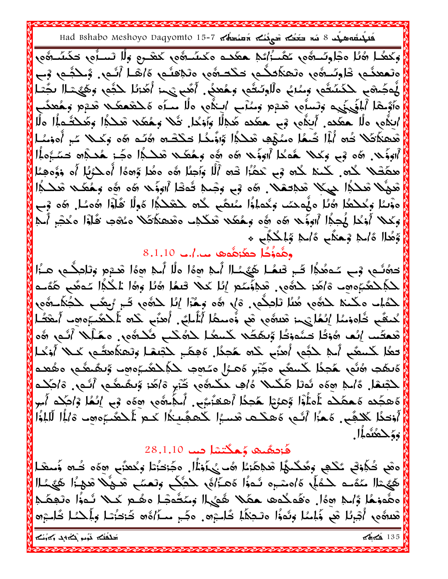Had Bshabo Meshoyo Daqyomto 15-7 مَنْ مَسْتَمَّة مَ بَيْنَ مَنْ 8 مَيْ بِمَسْتَمَّة

وِكْتِكًا هَٰلًا هَذَاوِنَــهُمْ رَعَمُــزُٰ/يُمْ ـعِكَده مكْسَــهُمْ كَعْنَــرِهِ وَلَّا تَسـأَمِ حَكْسَــهُم وتَعْمَدْعَهِ خَاوِئْتُوهُ وتَعَذَّكَتُمْ حَكْدَوْهِ وَتَذَكَّدُ وَعَظَمَ الْتَيْءِ. وُحَكَمَهُ وَبِ لْمَجَّمَا الْمَرْتِكَى وَهُمَّا لَمْ يَسْ رَسَى الْمَعْجُمْ وَهُمْ وَهُمْ مَعْنَمَا لِحَمْدِهِ وَهُ وَأَوْجَعُوا ٱلْمَؤْكِيَةِ وَتَسَلُّقَ هُدْمٍ وَخُلْابٍ ٱلنُّقُومِ وَلَّا حَسَنُوا كَاحَقُوهُمْ وَهُعَلَيْتِ وَ ابِنُدُو، ولَا حِجَدو ِ أَبِدُّو، فِي حِجَده مَدالًا وَاَوْحُل ثَلا وِحُجَد مَدَجُلا وِمَدَتَحَمِلًا ولُا هُتَعَلَّاتُكُمْ تُـ3ْ أُلَّمَا شَـهُا مِنْهُفٍ هُـكَـٰدًا وَاؤُنـكُـا تَـكْتُــ3ْ 2ْ مَا وَعَــلا عَـر أُهونسا أَاوَذَى ﴾. ۞ ۞ وَى وَكَذَا هُدَكَمْ أَاوَذَى ۞ ۞ وَهُكُذَا شَكَدُ ا دَجَٰ: هُدَجْ ۞ دَسَخُودًا هِجَعْدًا ۖ لَاهِ ۚ لَكُنَّهُ لَاهٍ ۚ وَمِ يَحْجُرُا خَمَّ ٱللَّهِ وَاَحِلًا هُ٥ هَمَّا وَاهِمًا ۖ أَو وَوُهِعْا هَوْلًا مَنْكُمُ! نَعِيكًا ۚ شَدْكِهُمْ. وَه وْبِ وَجْمَدْ ثَوْخُا أَاوَوَٰى وَهُ وَهُ وَهُمَكِنَّ شَكْدًا دوْنِنَا وِكْحَمْدًا هُنَا دِيُّدِكِمَا وَكُدْمَاوُا مُنْتَضَى كُلَّهِ حَمْحَكُمُا دَوِلًا قُاوْا هُدْنَا. هَد وَكَـلا أَوْكُل هُجِجًا أَاوَوَٰٓئِلا ۞ ۞ وهُعَلا مْكَـٰٓكِ هُوهِـٰٓكُلا هءُ۞ب قُاوْٓا هكجْمِ أَنْجَ أَوَّهُاا ةَاسِمْ وَحِذَّابٍ ةَاسِمْ وَلِمُحْكِّبٍ \*

## وهُوَدُّل حعَّرْهُوها مدال 8.1.10

حَمُّنَــمٍ فِــمٍ مُــمَعْكُمُ أَنَّــمٍ فَنَعْـلُمْ اللَّهُ مِنْ أَمَّا أَمَــمٍ مَعْنَ مَــمُوا مَ أَمْ يَع لِمَكْمِنُوهِ وَاهَدِ لِهُولٍ هِجَوَّمَمِ إِمَّا كَلا قَبْعًا هَٰلًا وَهَٰا لِمَكْمًا مُوَهَّى هَٰدَت لْحَمْلِكِ مَكْمَدْ لِحَقُوبِ هُنُا تَاحِكُو ۚ. وَ﴾ هُو وِهْزَا إِنُا لِحَقُوبِ فَــرٍ رُبِعَنبِ لِحُجَذَاحِقُوب لْحُتَفَّى خُاهِفِمُا إِنْعُانِي ۖ وَتَعَاهُمُ مِنْ الْمُعَالِمُ أَنْلَامًا ﴾. أُهنَّى كُلُّهُ نَاهَك أَعْقَدا تَعْمَتُسَ إِنَّفَ هُوَتُنَا حَسَّوَوْخًا وُبَيِّقَتُنَهُ كَنْبَشَا لِلْهُكُثِ فَكُلُّوهِم. مَمَّـلُكُم أَنَّب هُو حَمَّا ـكَـْسِعَّى أَنِـمْ ـكَـجَّـم، أُهرَّى ـكَـرَه ـهَجَـدًا ـ وَجَعَـدًا وَتَـهدَّلُوهِ عَــلا أُوْحُـل ەُنْتَقِبْ شَالْهِمْ ـ هُجِدًا لِكَسِعَي وَجَبْرٍ وَجِبَرٍ وَحَسَنٍ حَكِمَكُمْ عَرَضَاتِ وَنَسَعُتُمْ وتَقْعَد لِكَبْعَالِ ةَالِمِ 30ْهِ نُوتَا هَكْلِمَا وَافِ حَكْلَةُو، خَبْرِ وْاهُدْ وُلِشَعْفٍ أَنْسٍ. وْاصْلَ هُهجُده هُـعمَّـله نَأْهزُا وُهرُبْم هُجدًا ٱهغزُبُبِ ٱلْجُنُبُهِ وهوَه وْبِ إِنْعُا وْاجَلْه ٱبْرِ |أَوْحَطًا كَلَاهُبِ ۚ مَعْزًا أَنَّبِ مَعَنَّكَ شَنَّبُوا كَعَهِّيتِكُمْ كَتَمَّ كَلَّكُمْ بَوْمِتَ وَالْمَا لَللهُ ة وَدَّى الْمُشَمَّلُ لِيَ

## كَرْحِشْيْهِ وُحِكْتِسْلِ صِبْ 28.1.10

ەھْبِ خُكُلُوقْ عُكْلِي وِهُكُنْهُا هُدْهُمْ اللَّهُ عُنْ أَوْلَٰمًا. وَجُرْحَتُوا وِكُعِنَى وَوَةً فَسَا وَمَنْط طَّيْتِهِ الْمُدَّتِ حَدَّبُهِ وَادْتُوا وَادْتُوا وَادْتُوا وَاحْتُكُمْ وَتَعْتَبُ شَرْجُلًا هَوَيُدا ا مِمُّومُا وَّالِمِ هِوَا. وَفَوَحُوهِ هِقَلا هُوَيْ الرِّفُوجُا وَهُـعِ كَـلا نُـوزُا وَتَعِفَـمِ هْدِهُورٍ }ُجْرِبُل هِي ذَلِمُا وِنُوذًا وسْجَمَلِ خَاجِرَهِ. وجَبِ مسَرٍّ}هُ وَخَدَيْنَا وَلَمِكْمَا خُاجرَه

تلاءُ مام الله على الله من المسلم المسلم المسلم المسلم المسلم المسلم المسلم المسلم المسلم المسلم ال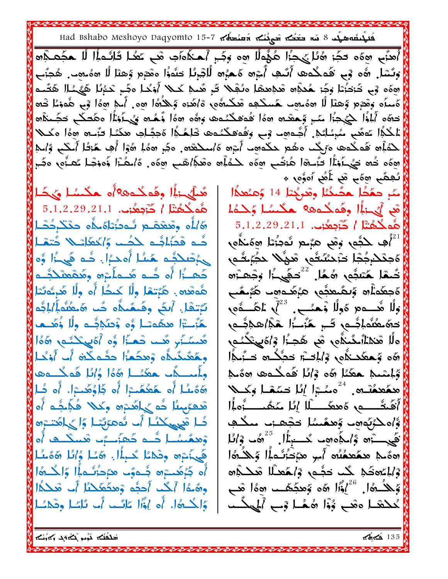## Had Bshabo Meshoyo Daqyomto 15-7 ملحلته من 8 مل المحمومة بمثلة من 8 مل المحمومة

أُهنَّى هِهَ دَجَّةٍ هُنُا يُحِبُّ هُهُمَّا هِ وَجِّمٍ أَحْذُهَ أَبِّ عَمَّا ثَالَـْمِلَّا لَا حَجَّم وِنُسْلٍ ۞ه وْبِ ۚ فَمكُمْهَ أَنَّبُهِ أَبْرَهِ هَـٰهِرُهَ لِّاجْرِنُا حَثَّوْا مِثْتِمٍ وَعِنَا لَا همْبِهِب هُجَّب ههُه فِي خَرْحَاْمًا وَجَرْ هُدْبُه شَدْهِدْهَا مِنْفِي ۖ فَي هُمِمْ كَبِيلا أَوْكُلْ مَجْنُ لِلْمَ عَهُدا هَقَم ەُمىلُە وْهْتِرْمْ وُهْلَا لَا «ەُمەت ھُسڭجە ھْكُمەنْ ەْ/ھُدە وُݣْلُا لَاھ ، أَمْلِ «ەەل قوي ھُەومْلا شْر حَمَّه أَلْمَوْا حَيْجَاْ مَـٰـِ وَحَمْدَه هَا فَوَقَعَـْـُوه وهُو هِأَا وُحُـه وَيُــزَّوْنَا وهَمَـكَــ حَجَــنآه لْمُكْمَّا عَمَّى مُبِسُلَّكِمْ. أَجُــدوف فِــ وَقُدَفَكْسُمَتْ خَلَــهُـدًا مَجَسَلِكِ مَكْنَـل فَنَسوه وَذَا وكَنكل لْكُمْلُو كُمكُمْعَا وَرُكْبَ وَهُمْ لِلْكُوفِ أُبْرُوا وَاسْلِطْتُوا وَجْرِ وَوَٰهَا وَهُوَا أُفِ هُرْطُا أَيكن وَالْج هِهُه خُه حَيْمَاؤِمَاْ لَا تُسْوَّا هُرْضَى هِهُه حَـٰهُ؋ُه هِفَجَا/هُــى هِهُه. ةُ/حَدَّا وُهوْجَـا عَصَّوَى هجَم سُمِعَہ وَہُم کُمْ نُائِبٌ اُهوَہ \*

هَيْلَ السُكْمُ الْمُحْمَدِينَ مَسْتَمَرَّةً وَالْمُحَمَّلَ هَمْكُمُثَلُ / خَبْعِعُنِ. 1.1.2.29.21.1 هَالْم ومْعْقَدِ نُـودُدْهَـدُه حَنْدْدُهُـدْ كُـه فْحَزُلْهُـه لِلْحُـبِ وُأَكْمَٰذَلِلا خُتْهَـا حَرْضَلَابُد هَمُنُا أُوحَهُ!. ثُنَّهُ فَجَمَعَ أَوْه كَهِــزُا أَو كُــو هُــولُــژو وهُـڤَعثلاَبُــو هُوهُدِهِ . هُبُتِهَا وِلًا حُيجًا أَو وِلًا هُدِيَّوَتُدَا تَبْتَغَا. أَنِكَ وِهَيْشَيْأُه هُب رَهُيْشُهَأَالِمَةُ هَزُّتْزَا مِنفَوْسًا وُهِ وْصَبَّابُد وِلَا وُمَحْمَد هُسْتَنُو هُبَ شَعَزًا وَّهِ أَهْلِيْكْتُمْ وَهُمَّا وهَعَْنَدُوْهِ وَمِحَمُّوْا حَثَّـهِ كَفَّ أَبَّ أَوْخُـل وأسللُه هكْسًا 5% وُأَمَّا فُوكْلُوهَ رَّهُمَٰىًا أَو هَٰعُهُمْ أَو جَاوُهُمْ اللَّهُ صَا هُدْعَهِمُا شَهْ ﴾ إهُدْوه وكلا فُجُدِثُم أَه صًا هَيِيكِنَا أَمَّ شَعَبَتِنَا وَالْكَلِّعْتِينَ وْهِمُسُلَّا شُدِّ هُمْزُكُونَ هُسَكْلُ فَأَهْ كَيْخْتِرْهِ وَشَمْئًا خَـٰزِلًٰا . هَـُـٰلَ وُٰائِلَ هَٰذَسُلَ أَه كَرْهُمْــْرْه جْــووُّــ هرْحَرْتُــْمِلًا وَالْحُــْهُا وِهَمَا أَلَكَ أَحِثَه وَمِتَعَلَّمَا أَمَّا مُلَكُما وَالْحَدْهَا. أَهْ إِذًا مَاتَـبٍ أَبِّ تَاسًا وِثْلَمْـا

مَّدٍ حَمَّحًا حَصَّحُبًا وقَدِيْجَةً 14 وُهِيْهَا. هَمْ أَيْهَ أَلْمَ وَهُدَهُ مَكْسُلًا وَحَدُدُ هَمْكُمُتْلُ | كَبْعِمُنِ. 1.1.2.29.21.1 وَهُم مِبْعِدٍ مِنْهِم شَجْرَتِنَا وَمَنْدُو $\ell^{21}$ ةَجْدَدْبِجُمْا حَنْدْسُتُم، مَّنْهُلا حَجَّبِخُـم، تَمشَا ـمُسْبُم، شَمُّا.  $^{22}$ تكَيْبُرُا وَجْعَـرْه مَجْعَمَلُوهِ وَيَصْعِدُهُمْ حَيْصُدُومِ حَبَّيْهُمْ  $\sum_{i=1}^n a_i \propto \int_0^{23} a_i \sin \theta_i$   $\int_0^{23} a_i \sin \theta_i \sin \theta_i$ مِ مَجْهِ مِنْ أَسْتَهْدِ مِنْ أَسْتَرَارِ مِنْ مِنْ مِنْ أَسْتَهْدِ رمنْكْتَرِ وَأَوْعَ إِنْسِكَ هُمْ رَمَلْنَكْسَالُكَ مِنْكُسُكَ لِلْمَ هَ وَمِعْكَــٰكُمِ وَ/لِمَــٰٓا حَجَّــُـهِ حَــَّىـٰهِۗا وَّلْمَسْمِ حَمَّمُ أَمَّهُ وَأَمَّا فَمَكْمُعَهُ مَمَّمِ همَعمُنْـه. <sup>24</sup>مئةِ الرُّأ صَنْـهَــأ وكَـــلا أَفَتْــــه هَممْــــلَا إِنَا مَمْهُـــــزُهِ أَ ۋَاەتْكۆبەھە ۋەتقىسا خېھىزما مىڭى كَيْمِ آهِ وَالْمُؤْمِنُ مُسْبِئُلٌ أَهْدَ وَاللَّا ههُمِ همُعمُسُه أَمِرٍ هزَخَزُنُـمأَا وَلِكُـهَا وْالْمُتَحَمَّدِ كُمْ حَجَّمٍ وْالْمُعَطْلَا هَكَــٰكُلِهِ وَ الْأَسْمَاءِ وَالْمُ اللَّهُ مَنْ وَحَدِّمَتُ مِنْ مَنْ اللَّهُ مِنْ  $\sim$ كُلْحْشَا هِ قُوَّا الْمُصَّا وَبِ ٱلْمَحْكَمَ

حَدُوْمَة مِرْحَمَدَ مِنْ حَنْفَهُمْ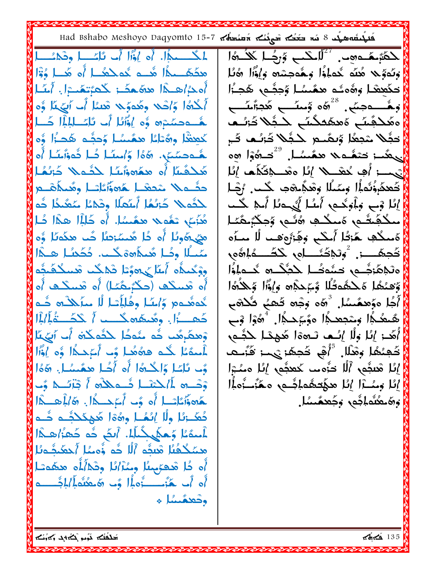Had Bshabo Meshoyo Daqyomto 15-7 x المستفتح بتنفيه بتغف من 8 مله المقافيف  $\int \frac{1}{\sinh^2 x} \int \frac{1}{\sinh^2 x} \frac{1}{\sinh^2 x} \frac{1}{\sinh^2 x} \frac{1}{\sinh^2 x} \frac{1}{\sinh^2 x} \frac{1}{\sinh^2 x} \frac{1}{\sinh^2 x} \frac{1}{\sinh^2 x} \frac{1}{\sinh^2 x} \frac{1}{\sinh^2 x} \frac{1}{\sinh^2 x} \frac{1}{\sinh^2 x} \frac{1}{\sinh^2 x} \frac{1}{\sinh^2 x} \frac{1}{\sinh^2 x} \frac{1}{\sinh^2 x} \frac{1}{\sinh^2 x$ لمكسمعُ!. أَه إِنَّاا أَبِ تَاسًا وَذَٰلَكَ ا مِدَمَّـــدًا مَّــــو خُوجُكَــا أَو مَّــا وُوَّا وَيُوتَى هُنَه لَحْمِلُوا وَحُوجِسْهِ وَإِوَّالَ هُلَّا أَوْجَزَاهِـذَا مِلْهُ هَدًا لِمَحْتِمَـَّةِ لِيَسْتَمْرَانِ أَسْلَمْ حَكَمِهْا وَهُءيُه مَعُسُلٍ وَجِئُـمٍ هَجـًّا وِهُــــومِنَى ۚ  $\check{\mathbf{e}}$ ە وُمئـــى هُجرَّمَنَـــى أَحْدُّا وَٱصْلا وهُدوَيْلا قَبْلاً أَبِّ أَيْهَلاً وَّه هُــوْمَــوْهِ وَوَ إِوَّٰٓاً أَبِ تَابَـَـالِلَّهِ الْكَــا ەھَٰٓدَڢَّىنَ ەَھھَٰڡُدَّىنَى ۖ دَــُوْلَا تَارَنَــُ كَعِنْقًا وَوَّتَلْنَا مِهْسُلٍ وَحَثَم هُجِزًا وَهِ َحَجُلًا مُجَعُلٍ وُبِمُبِـعٍ ۖ حَجُلًا خَرْبُـفٍ كَـٰٓرٍ .<br>00 أَوَثَمَتْ مَسْتَمَامَ مَسْتَمَامَ مِنْ مَسْتَمْرَ مِنْ مَسْتَمْرِ. هُـوْمِسْسٌ، 6% وُاسِبًا مُـا ثُووْسًا أُو مَحْدَمَنَا أَو مِعَووزَمَهَا حَذَمِهِ دَرْهُمَا تي خَمْ اللَّهُ الْمَشْمَلَاتِ اللَّهُ وَهُكُلُّ اللَّهُ وَالَّذَاتِ الْمُؤَمَّنَ الْمُؤَمَّنَ الْمُ حفُـمِلا عْمَعْدَا هُودُوَّتَاسًا ومُحكَّدَ |كَعِدَدُوْنُدَىٰٓاْ وَمَعَىٰلًا وَهُدَيْمَةَ حَدَّى وَجَـل لِكْمِي الْكُمُلُّ أَعْتَمُلُّ وَشَمْئًا مُتَعَبِّدًا هُم إِنَا فِي وَلَمُوكَــمِ أَسُلٍ أَيْــمِنَا أَسْمِ كَــد هُذَبٍّ ثُقُوبِهِ مِعْسُلًا. أَو خَالِمًا هَذَا خُار سَكَفِّتُـمِ مَسْكَـڢِ هُنُـمٍ وَجَكَبُمِمَّـَا مَيْهُوبُا أَو دًا هُسْئِطًا هُبِ مَدْمَلًا وُو َّەَمىڭچا ھَرْقُا أَمْكَى وَجَرْزُوقىدا لَّا مىدَّە مَنْسُلًا وضُلَّا هُمْهُوهُ كُمْ. ضُحُصًا هِـدًا ووْكُمْلًا أَمَنَّا يُ‰وَّتَا شَمْكُتْ شَسْكُفُنُّهُ |ەلْجْهَٰزْجُـــم، حَسُّوْصًـــا حْجُكْـــرە گَـــولِزُّا أَه قسكُ (حكْبُهُمَا) أَه قسكُ أَه أَوَّعْنُعُا مَكْثُمُوكُلَّا وَّجَدِكُوه وَإِوَّاْ وَكَلَّهُا بُدهُدم وَاسًا وقُلِّكا لَا سِنَىٰكُ وَدَ لَّٰجًا ہوَھ**م**َّسُل ْ ہُہ وجہ کُھبُ ٹُلاہی  $\left| \begin{array}{ccc} 1 & 0 & 0 & 0 & 0 \ 0 & 0 & 0 & 0 & 0 \end{array} \right|$ دَّهِ أَنْ وِهُبِهُدِهِ كُلَّبٍ أَنْكُمْ شَيْأَاتِهِ ا َّ هُىعُـٰـٰٓھٗا وِـنْجِعَـٰہٗا ہوَّـٰٓٓٓ مِـٰٰٓٓهٗا ، ؕ ہُوٓا وَٓب وْمِحَرِمًى هُو مُوَجَلٍ حَدَّدِهِ أَوْ أَيْهَا أُهَٰذ إِنَّا وِلَّا إِنَّـٰ نَـْ96 هَٰذِكَـا لِحُجَّـٰفٍ أَ خَجَنُهُا وَمَثَلاً. ۚ أَهْيَ خَجِهَٰ; يَهِــ; 'فَنُنِــم أَسِقَنَا كُد قَوْهُمَا وَ أَجَهَدُا وَ إِنَّ وًف تُلْسًا وَالْحَدْثَا أَنْ أَشَا هِمُسْتَا. 56أ إِنَّا مُعجَّمٍ أَلَّا حَزَّهِ مَا كَعجَّمٍ إِنَّا مِمْتِهِ ۖ وْصُّدِهِ لَمُ حَسْلِ شَبْعَاهُمْ أَرْقِبَكُمْ وُب |إِنَا وِسُـٰأَا إِنَا هِجُعِهُماخُــمٍ مِعَّنُــِّوَمِلَّا هَرْدُوْدُ الْمَسْلِ أَنْ وُبِ أَسْرَحِيكُمْلَ. رَبِّيْ إِنَّ هَذَا الْمَرْجَعِيمَ ا وَهَ حَكْثَمَاجُمِ وَجَعِمَسُاً. دُهَّــزبُّل ولًا إِنْهُــل وهُءَا هَٰذِكَذَبُــدٍ شُــدِ أَسْمَا وَهِكَهِجَمَلَا. أَلَقَ هُو هُوءُ/هِـدَا هِمَكُفُلًا مُعِيفُهِ ٱلْلا هُو ۚ وُوجُلٍ ٱحْقَدِيْدِونُل أَه دًا مُدعَى اللهُ وَسُلَمَانًا وَشَالَمَاً مَدَّمَدَاً أُه أَبِ هَزُنِــَــزُهِ إِلَا وَبِ وَعَيْقُوا الْمُجْـــو وذهنمشال و

تلاءُ مام الله على الله من المسلم المسلم المسلم المسلم المسلم المسلم المسلم المسلم المسلم المسلم ال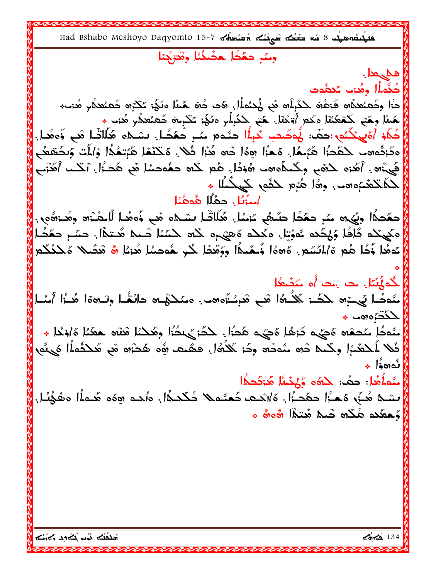Had Bshabo Meshoyo Daqyomto 15-7 xdripx xiter xis 8 مله هشتانه ومئر حمّكا حصّكُنا وقتوجُتا فالمصر أمصار حُذُه أُل وهُزب مُحفَّدت دَٰۥٗا وِحۡعِنُعِدَاهِ ۖ هَٰٓ;هُۥَهٖ حَدۡ}ِلۡهِ ۚ شَيۡ مُحۡثَمَلٗاً. ۞ صَ هَمُنُا وَنَهۡ: عَنۡتَہِهِ حَصُعكُم هُزمه هَمْلُا وِهَبْ كَعْطَنْنَا هَدُمْ أَوْدُنَا. هَبْ حَذَرِاُمٍ هَنَّهُ: عَكْرِمِنْهُ كَعِنْعِجُمٍ هُذِب م حُكُوْ أَوَّلِيكُمُو :حَقَّ: هُوَجُمِي كَرِمُّا حَيُومِ مَبْ حَعَجُل. لِشَكْرُو هَٰذَا هُنْ وَوَهُدَا. ەدَنْدُەەب للكَحْرَٰا هَٰزُمْهَا. ەَحْرَٰا هِوْا دُو هُٰزَا شَلا. ەَخْتَعْلَ هَٰزَتْمُدُل وْ/لَمْت وُبكَنْفْعُب فَهِيْرَهِ ﴾ أَهُنِه لَحْشَمٍ وِكْمِكُوهِمَ هُوَجُلٌ هُمْ كُلُّهِ حَقَّوْمُمَا هُوَ هَٰذَاً ﴾ ٱنْكُس أَهْزَى لِمُتَعَمَّرُه مِنْ. وَهُمَّا هُرْمِ لِحَقَّى لَّكِيكُمَّا \* اسْأَىُلْ. حِمُلًا هُومُنَا حمَّحكُا وِيُّ مِ مَمْ حمَّحُا حسَّمُ عَمْدًا. مَكَلَاتْ لـشــده هَي وَممُدا لَّاحمُـنْزه ومُدرْهُوب. ەڭيەك دَافُا وَيْضُم شَوُتٍا. ەڭلاھ ەَھىْرە ݣە للىشا تْسْمَ هُـتمْا. ھسَّر ھەَشَا عَمَعًا ذَٰكًا هُمْ وَٱلْمُنْصَرِ. وَهَوْا ذُهُماْ وَوَتَعَطْ كُبِ هُوصِبًا هُزِيًا فَي قَضَلًا وَحَكْكم لْحُمْلُمُكُلِّ. يجد بحد أو يَمْحُبِعُل مْدَهُـا يُــِٓ بَه حَكَـٰۂ كَلاَـهُا هَــب هُـبُـُـتُوهب. ممُحكُمِـه حالُـقُـا وقـهةا هُــُ;ا أَمُــا لمكْتَمُرەھ \* مَّدَهُمْ مَّحَمَّدَهُ وَحَيْ هَدَا وَحَيْ مَحْرَا. حَكَّرَ حَكَّرَا وَهُدَا هُنْهُ هَوْمَ مَعْمَا وَأَوْجَا م ثُلا لَمَعْتُمُ! وكُـدة هُـدة مِنَّه منْ اللَّهُ منْ اللَّهُ مَـنْتَ مِنْ مَحْتَمَةً مَا مَكْمًا مَ ⊹ါန်ဇာည် مِنْعَلْهُا: حَقَّ: حَجَّة وَلِجْمَعُ هُوَجَحَدًا بشكِ هُنَّى هَجْزًا حِجَّجًا. وَٱلتَحِبِ حُجِبُوبِ الْكَحِكَالِ وَأَحِدٍ هِوَهِ هَدِمَا الْمَهْتَبَل وَحْمَدُه هُكُلُه شَدا هُتِمَّا أَوْهِ \* مَحْلُقُلُكُمْ هَوُمْ كَتَمْتَكُمْ مَحْلُقْلُكُمْ  $\frac{134}{134}$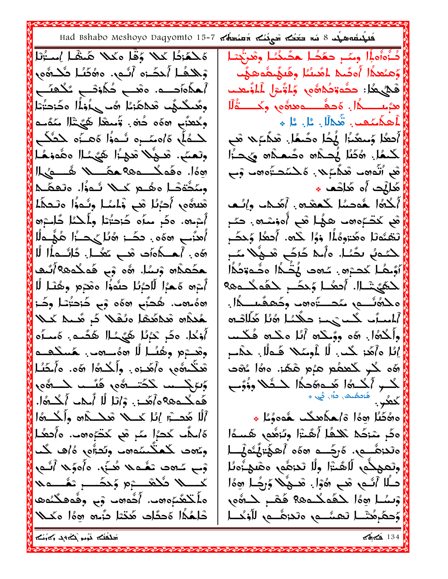Had Bshabo Meshoyo Daqyomto 15-7 ملحنك تحنيك شد بحنين المحتمون في المحموم بمعنى المحموم المحموم المح كُزْهَأُولُمْ وَمَمْسٍ حَمْحُمْ هَدُمْنَا وَقُدِيَّكُمْ ا هَكْعُرْمًا كَلا وَقَا هَكُلا هَنْقُا إِسْتُرْلَا وَهنُعدًا أَوصُّه لمُعْسُلُ وِفَيهُنفُوهِهَا وْ كَلْحَا أَحْكَـٰزَه ٱلنَّـهِ. وَهُكُنُـٰا تُكْـَوُّهِ، فْحَيْ هَا: حَدُّدَوْحُكَاثُومِ ۖ وَلَمُّتْمِ لَلْمُؤْتَمِنَتَ أهكَمَأْهِــــه. هڤــــع حُكَّوْفَـــع تُكْهَنَــع وهُمكْمَهُم هْدْهَٰذْ هُم حِذْفُاْ هَجْدَتُوْا هِ بِمِـــداً. هَدِهْــــوهُو وَكَـــدُلَّا وِكْعِدَّى وَهُوَ دُوْ. وَمَعْدَا هَيُنْذَا مَوْمَد الأعكمه والله على الله على الله أَدْهُا وَسَعَّنَا لَهُكَا دَشَكًا. شَكَّبَتْ شَعَ لْكَمُلُّ ةَامِنَّــرِه نُــهزُا ةَهــرُه لِكَنَّكَــح لَّحْمَلَ هُكُمْ لَهُدَّه مَحْمَدٌ وَحَمَدُ وتَعْنَى. شَيْئًا شَيْءًا شَيْئًا! مَثْمَوْهُا. الرُمْثُ / مُعَمَّدٌ مِعْ الْمَسْمَلَاتِ مِنْ الْمَصِيْرِ هُمْ أَتُوهِ شَكْتَهِلاً. هُكْتَنْحَتُوهِ وَبِ ومَحْدَّدَا وهُــع كَـــلا نُــوزًا. وتَـعمَــد ﴾ هَالَمِد أَه هَاهُم \* هْدِهُو، أَحَرُنُا هُبِ وْلَمِنْـا وِنُـوزًا وتَـحكَلَ أَبْكُرُهُ! هُدَهَنْه! كُعِمْدِهِ . أَهَكِمَا وَإِنَّمَا أَسْرِمِهِ. وَضَرِ مِمرُهِ خَرْجَتُهُمْ وِلَمَكْمَلِ خَاسْرُهِ هُم كَتْتَرُەھە ھۇلم ھُم أُەزْشە. كَتْر أُهنَّب 1, مؤة : حَصَّة 1, مؤهر صبُّه أ تَتَعَنَّونَا وَهُنَّوَوُمُأَا وَوُا كُلَّهَ. أَحمُّا وَحَصَّر لْكُنْمَ نَقْتُلْ. هأَنْمْ قُرْضَعْ شَيْئًا شَيْرَ هَهِ . أَحْسَمُهَ وَصَبِ مَعْسَلٍ. قَائَسْهِ أَلَّا لَٰلَّا ـْمَحَمَدُه وْسُلْ هُو وْمِ كَوكُوه*؟ أَنْتُ*ف أَوُّىعُـا كَحـْرَه . صُهد لُغُّـٰهُا وَهُـُوَدُّاًا ا أُ-رَه هَـمُ}ا لَاحْبُنُا حنَّهُوا همْرَم وهُنَـا لُا لحَقَّيْتْ الْمَحْسَلِ وَحَصَّرِ لِحَقَّمِكُ وَ20 |مَذَهُنَّــمِ مَّتـــتُوهب وِجُھڤَيـــدُّا. هەُ مەت. ھُڪَبَ ھەَ وَبِ ڪُوَڪُرُهَا وَڪُوَ أَلمسأَس كُبِ رَبِيبٍ حِكْسًا هُنَا هُلَاصَهِ هُدْأَاهِ مْدْهُدْهَا هُنُفْلًا ثُمِّ هُــدْ كَــلا وأَحْدُدًا. هَه ووُحْدَه أَمَّا هكْدَه فُكْـب أُوْكُلْ وَكُمْ كَبُرُنَا هَيُّهُا ۖ هَقُمُو ۚ وَمَسَرُو وڤحو وھُنُــا لَّا ھەُـــھە . ھَسكھــە إِنَّا هَأَهَٰ: كُبَّ. لَا أُوسَٰى هَٰدَلًا. حَدَّب هْنُدْهُورٍ وأَهْدَوٍ. وأَحْدَهُ أَهُو. وأَحْدُا هُه لُكْبِ لَكَعْقُمْ هَزْمَ هُغَةٍ. وَهُ الْمُؤْتَ ِّكُمْ أَكُمُّ أَوْ هُدِهِ مَدَّمٌ الْمَدَّمُ وَذُوَّبَ<br>كَعْفُرٍ. فَنَتَفَسَّدَ ثَلاَ فِي مُ ۇتۇپخىسى ئاڭتىسۇە قىلىپ نىسۇە، فَمِكْمِعِهِ هِ أَهْدِ. وَإِنَّا لَا أَسْلَمِ أَكْتُوا. ٱللَّهُ حَسَّنَ إِنَّا حَسَلاً شَهْدَهُ وَأَحْدَثُهُ ا ەھْكَىُا ھەدا ۋاھكەتكى ھەدۇئا \* ةُامِلُّ كَحَرَا مَعْ هَيْ كَخَرُهُ مِنْ هَأُحَقُـٰا ءكَرِ سْبَكُمْ يُكْفُلُ أَهْبَرْا وِنُرْشُو هَسْدُا وتهدد للمتكسَّدهما وتُعتَّرُه، ةُ/ف لَكَمَا لَـــٰؤَمَنُــٰهِ. هَرَضَـــه مصــٰیٌّ هُمَــُــا وْبِ سُهِدَ تَعْسَمْهُ هُنِّي. ه/ُهوَها أَنَّبِهِ وتعهضُ لَاهُنْزَا وِلَا تَدْهُمْ وَهْدِؤُونَا كمسلا فُلْعْسْتَ مِ وَحكَسْمٍ تَغْسَـٰمَلا ئىلا آئىم ھَے ھُوٓا. ھَـُهُلا وَرۡصَٰا ھِهَا مأَكْتَكُبُوهِ ، أَثْنُوهِ وَبِ وَقُوهَكُنُوهِ وَسُلًّا هِوَٰا لِحَفَّمِكُمِهِ ۚ فَقَعِ لَحِدُّهِ وَ وُحصَّرِمُنْـَـا تَعشَـــمِ وتَدرَهُـــمِ للَّوَحُـــا تْلِعُمُّا هُحِمَّات هُنْتَا جَنُبُهِ هِهَا مَكْلًا تحلفكم لمراشط بابه تحفظ  $\frac{134}{134}$